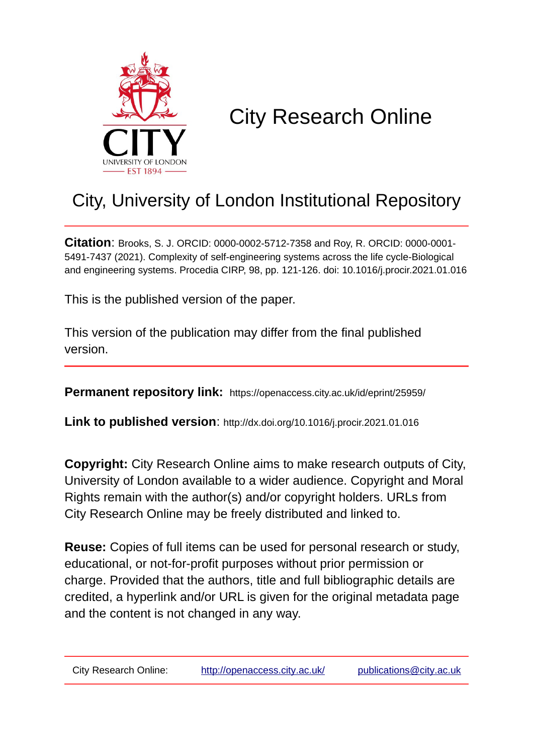

# City Research Online

## City, University of London Institutional Repository

**Citation**: Brooks, S. J. ORCID: 0000-0002-5712-7358 and Roy, R. ORCID: 0000-0001- 5491-7437 (2021). Complexity of self-engineering systems across the life cycle-Biological and engineering systems. Procedia CIRP, 98, pp. 121-126. doi: 10.1016/j.procir.2021.01.016

This is the published version of the paper.

This version of the publication may differ from the final published version.

**Permanent repository link:** https://openaccess.city.ac.uk/id/eprint/25959/

**Link to published version**: http://dx.doi.org/10.1016/j.procir.2021.01.016

**Copyright:** City Research Online aims to make research outputs of City, University of London available to a wider audience. Copyright and Moral Rights remain with the author(s) and/or copyright holders. URLs from City Research Online may be freely distributed and linked to.

**Reuse:** Copies of full items can be used for personal research or study, educational, or not-for-profit purposes without prior permission or charge. Provided that the authors, title and full bibliographic details are credited, a hyperlink and/or URL is given for the original metadata page and the content is not changed in any way.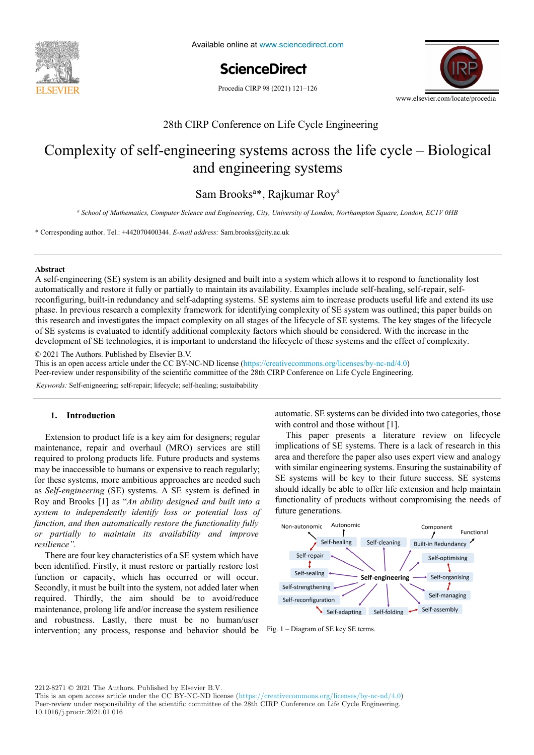

Available online at www.sciencedirect.com

**ScienceDirect** ScienceDirect

Procedia CIRP 98 (2021) 121-126



## 28th CIRP Conference on Life Cycle Engineering 28th CIRP Conference on Life Cycle Engineering

## Complexity of self-engineering systems across the life cycle – Biological and engineering systems and engineering systems and engineering systems

Sam Brooks<sup>a\*</sup>, Rajkumar Roy<sup>a</sup>

a<br>School of Mathematics, Computer Science and Engineering, City, University of London, Northampton Square, London, ECIV 0HB

\* Corresponding author. Tel.: +442070400344. *E-mail address:* Sam.brooks@city.ac.uk \* Corresponding author. Tel.: +442070400344. *E-mail address:* Sam.brooks@city.ac.uk

#### \* Corresponding author. Tel.: +33 3 87 37 54 30; *E-mail address:* paul.stief@ensam.eu **Abstract Abstract**

reconfiguring, built-in redundancy and self-adapting systems. SE systems aim to increase products useful life and extend its use this research and investigates the impact complexity on all stages of the lifecycle of SE systems. The key stages of the lifecycle of SE systems is evaluated to identify additional complexity on an stages of the meeting of SE systems. The key stages of the meeting development of SE technologies, it is important to understand the lifecycle of these systems and the effect of complexity. A self-engineering (SE) system is an ability designed and built into a system which allows it to respond to functionality lost automatically and restore it fully or partially to maintain its availability. Examples include self-healing, self-repair, selfphase. In previous research a complexity framework for identifying complexity of SE system was outlined; this paper builds on development of SE technologies, it is important to understand the lifecycle of these systems and the effect of complexity.

a functional analysis is performed. More over, a hybrid functional and physical architecture graph (HyFPAG) is the output which depicts the output which depicts the output which depicts the output which depicts the output

© 2021 The Authors. Published by Elsevier B.V.

This is an open access article under the CC BY-NC-ND license (https://creativecommons.org/licenses/by-nc-nd/4.0)

Peer-review under responsibility of the scientific committee of the 28th CIRP Conference on Life Cycle Engineering.

 $t$  messed products in new assembly oriented product families the optimization of existing assembly lines and the creation of  $\epsilon$ Keywords: Self-enigneering; self-repair; lifecycle; self-healing; sustaibability

### **1. Introduction 1. Introduction**

Extension to product life is a key aim for designers; regular maintenance, repair and overhaul (MRO) services are still implications of SE system required to prolong products life. Future products and systems may be inaccessible to humans or expensive to reach regularly; **1. Introduction**  *system to independently identify loss or potential loss of*  Roy and Brooks [1] as "*An ability designed and built into a*  newen, and then different theory resions the fantamy function function, and then automatically restore the functionality fully<br>or partially to maintain its availability and improve<br>resilience" maintenance, repair and overhaul (MRO) services are still<br>required to prolong products life. Future products and systems may be maccessible to humans or expensive to reach regularly;<br>for these systems, more ambitious approaches are needed such for these systems, more ambitious approaches are needed such<br>as *Self-engineering* (SE) systems. A SE system is defined in Roy and Brooks [1] as "*An ability designed and built into a*  as *Self-engineering* (SE) systems. A SE system is defined in *function, and then automatically restore the functionality fully system to independently identify loss or potential loss of resilience". or partially to maintain its availability and improve* 

*resilience*  $\cdot$ <br>There are four key characteristics of a SE system which have pen identified. Firstly, it must restore or partially restore lost been identified. Firstly, it must restore or partially restore lost function or capacity, which has occurred or will occur. Secondly, it must be built into the system, not added later when  $\alpha$  required. Thirdly, the aim should be to avoid/reduce required. Thirdly, the aim should be to avoid/reduce required. maintenance, prolong life and/or increase the system resilience maintenance, prolong ine and/or increase the system resinence<br>and robustness. Lastly, there must be no human/user  $\frac{1}{2}$  intervention: any process response and behavior should be intervention; any process, response and behavior should be intervention; any process, response and behavior should be  $S$ econdry, it must be built into the system, not added later when intervention; any process, response and behavior should be

1. Introduction automatic. SE systems can be divided into two categories, those  $\frac{1}{2}$ . Introduction with control and those without [1].

thyssenkrupp Presta France is then carried out to give a first industrial evaluation of the proposed approach. future generations. This paper presents a literature review on lifecycle implications of SE systems. There is a lack of research in this implications of SE systems. There is a lack of research in this miplications of SE systems. There is a lack of research in this area and therefore the paper also uses expert view and analogy with similar engineering systems. Ensuring the sustainability of with similar engineering systems. Ensuring the sustainability of SE systems will be key to their future success. SE systems should ideally be able to offer life extension and help maintain SE systems will be key to their future success. SE systems functionality of products without compromising the needs of area and therefore the paper also uses expert view and analogy should ideally be able to offer the extension and help maintain



Fig. 1 – Diagram of SE key SE terms.

2212-8271 © 2021 The Authors. Published by Elsevier B.V.

This is an open access article under the CC BY-NC-ND license (https://creativecommons.org/licenses/by-nc-nd/4.0) Peer-review under responsibility of the scientific committee of the 28th CIRP Conference on Life Cycle Engineering. 10.1016/j.procir.2021.01.016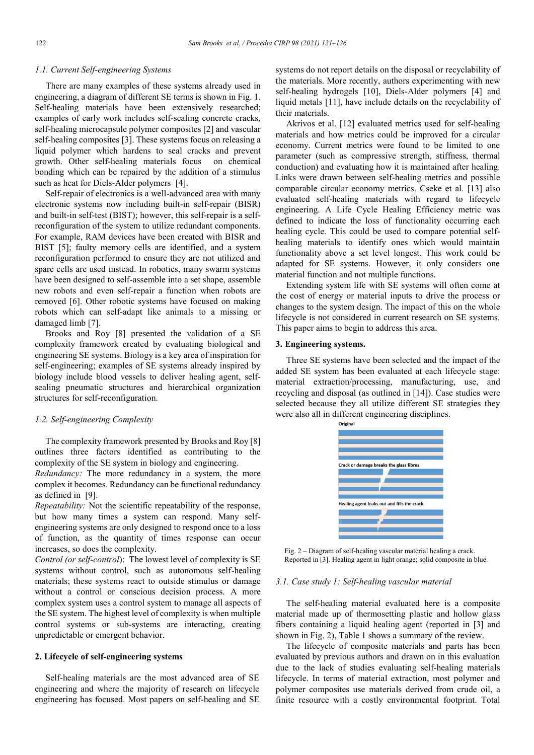#### *1.1. Current Self-engineering Systems*

There are many examples of these systems already used in engineering, a diagram of different SE terms is shown in Fig. 1. Self-healing materials have been extensively researched; examples of early work includes self-sealing concrete cracks, self-healing microcapsule polymer composites [2] and vascular self-healing composites [3]. These systems focus on releasing a liquid polymer which hardens to seal cracks and prevent growth. Other self-healing materials focus on chemical bonding which can be repaired by the addition of a stimulus such as heat for Diels-Alder polymers [4].

Self-repair of electronics is a well-advanced area with many electronic systems now including built-in self-repair (BISR) and built-in self-test (BIST); however, this self-repair is a selfreconfiguration of the system to utilize redundant components. For example, RAM devices have been created with BISR and BIST [5]; faulty memory cells are identified, and a system reconfiguration performed to ensure they are not utilized and spare cells are used instead. In robotics, many swarm systems have been designed to self-assemble into a set shape, assemble new robots and even self-repair a function when robots are removed [6]. Other robotic systems have focused on making robots which can self-adapt like animals to a missing or damaged limb [7].

Brooks and Roy [8] presented the validation of a SE complexity framework created by evaluating biological and engineering SE systems. Biology is a key area of inspiration for self-engineering; examples of SE systems already inspired by biology include blood vessels to deliver healing agent, selfsealing pneumatic structures and hierarchical organization structures for self-reconfiguration.

#### *1.2. Self-engineering Complexity*

The complexity framework presented by Brooks and Roy [8] outlines three factors identified as contributing to the complexity of the SE system in biology and engineering.

*Redundancy:* The more redundancy in a system, the more complex it becomes. Redundancy can be functional redundancy as defined in [9].

*Repeatability:* Not the scientific repeatability of the response, but how many times a system can respond. Many selfengineering systems are only designed to respond once to a loss of function, as the quantity of times response can occur increases, so does the complexity.

*Control (or self-control*): The lowest level of complexity is SE systems without control, such as autonomous self-healing materials; these systems react to outside stimulus or damage without a control or conscious decision process. A more complex system uses a control system to manage all aspects of the SE system. The highest level of complexity is when multiple control systems or sub-systems are interacting, creating unpredictable or emergent behavior.

#### **2. Lifecycle of self-engineering systems**

Self-healing materials are the most advanced area of SE engineering and where the majority of research on lifecycle engineering has focused. Most papers on self-healing and SE systems do not report details on the disposal or recyclability of the materials. More recently, authors experimenting with new self-healing hydrogels [10], Diels-Alder polymers [4] and liquid metals [11], have include details on the recyclability of their materials.

Akrivos et al. [12] evaluated metrics used for self-healing materials and how metrics could be improved for a circular economy. Current metrics were found to be limited to one parameter (such as compressive strength, stiffness, thermal conduction) and evaluating how it is maintained after healing. Links were drawn between self-healing metrics and possible comparable circular economy metrics. Cseke et al. [13] also evaluated self-healing materials with regard to lifecycle engineering. A Life Cycle Healing Efficiency metric was defined to indicate the loss of functionality occurring each healing cycle. This could be used to compare potential selfhealing materials to identify ones which would maintain functionality above a set level longest. This work could be adapted for SE systems. However, it only considers one material function and not multiple functions.

Extending system life with SE systems will often come at the cost of energy or material inputs to drive the process or changes to the system design. The impact of this on the whole lifecycle is not considered in current research on SE systems. This paper aims to begin to address this area.

#### **3. Engineering systems.**

Three SE systems have been selected and the impact of the added SE system has been evaluated at each lifecycle stage: material extraction/processing, manufacturing, use, and recycling and disposal (as outlined in [14]). Case studies were selected because they all utilize different SE strategies they were also all in different engineering disciplines.



Fig. 2 – Diagram of self-healing vascular material healing a crack. Reported in [3]. Healing agent in light orange; solid composite in blue.

#### *3.1. Case study 1: Self-healing vascular material*

The self-healing material evaluated here is a composite material made up of thermosetting plastic and hollow glass fibers containing a liquid healing agent (reported in [3] and shown in Fig. 2), Table 1 shows a summary of the review.

The lifecycle of composite materials and parts has been evaluated by previous authors and drawn on in this evaluation due to the lack of studies evaluating self-healing materials lifecycle. In terms of material extraction, most polymer and polymer composites use materials derived from crude oil, a finite resource with a costly environmental footprint. Total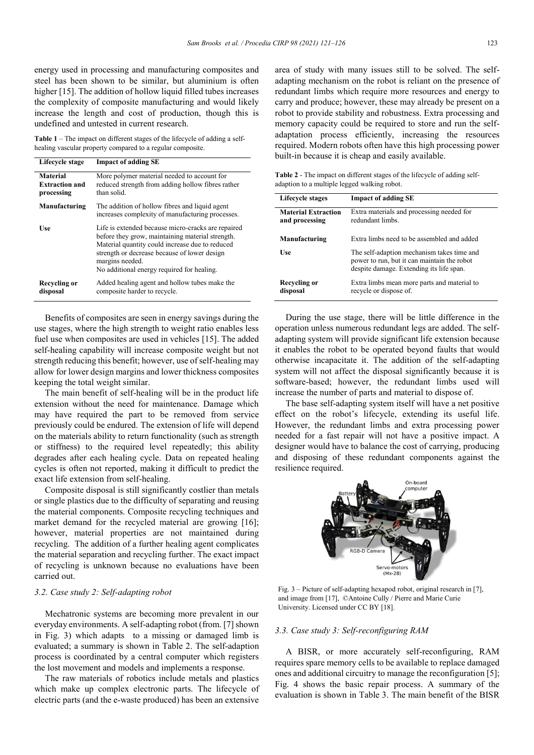energy used in processing and manufacturing composites and steel has been shown to be similar, but aluminium is often higher [15]. The addition of hollow liquid filled tubes increases the complexity of composite manufacturing and would likely increase the length and cost of production, though this is undefined and untested in current research.

**Table 1** – The impact on different stages of the lifecycle of adding a selfhealing vascular property compared to a regular composite.

| Lifecycle stage                                        | <b>Impact of adding SE</b>                                                                                                                                                                                                                                                 |  |  |  |
|--------------------------------------------------------|----------------------------------------------------------------------------------------------------------------------------------------------------------------------------------------------------------------------------------------------------------------------------|--|--|--|
| <b>Material</b><br><b>Extraction and</b><br>processing | More polymer material needed to account for<br>reduced strength from adding hollow fibres rather<br>than solid.                                                                                                                                                            |  |  |  |
| Manufacturing                                          | The addition of hollow fibres and liquid agent<br>increases complexity of manufacturing processes.                                                                                                                                                                         |  |  |  |
| Use                                                    | Life is extended because micro-cracks are repaired<br>before they grow, maintaining material strength.<br>Material quantity could increase due to reduced<br>strength or decrease because of lower design<br>margins needed.<br>No additional energy required for healing. |  |  |  |
| Recycling or<br>disposal                               | Added healing agent and hollow tubes make the<br>composite harder to recycle.                                                                                                                                                                                              |  |  |  |

Benefits of composites are seen in energy savings during the use stages, where the high strength to weight ratio enables less fuel use when composites are used in vehicles [15]. The added self-healing capability will increase composite weight but not strength reducing this benefit; however, use of self-healing may allow for lower design margins and lower thickness composites keeping the total weight similar.

The main benefit of self-healing will be in the product life extension without the need for maintenance. Damage which may have required the part to be removed from service previously could be endured. The extension of life will depend on the materials ability to return functionality (such as strength or stiffness) to the required level repeatedly; this ability degrades after each healing cycle. Data on repeated healing cycles is often not reported, making it difficult to predict the exact life extension from self-healing.

Composite disposal is still significantly costlier than metals or single plastics due to the difficulty of separating and reusing the material components. Composite recycling techniques and market demand for the recycled material are growing [16]; however, material properties are not maintained during recycling. The addition of a further healing agent complicates the material separation and recycling further. The exact impact of recycling is unknown because no evaluations have been carried out.

#### *3.2. Case study 2: Self-adapting robot*

Mechatronic systems are becoming more prevalent in our everyday environments. A self-adapting robot (from. [7] shown in Fig. 3) which adapts to a missing or damaged limb is evaluated; a summary is shown in Table 2. The self-adaption process is coordinated by a central computer which registers the lost movement and models and implements a response.

The raw materials of robotics include metals and plastics which make up complex electronic parts. The lifecycle of electric parts (and the e-waste produced) has been an extensive

area of study with many issues still to be solved. The selfadapting mechanism on the robot is reliant on the presence of redundant limbs which require more resources and energy to carry and produce; however, these may already be present on a robot to provide stability and robustness. Extra processing and memory capacity could be required to store and run the selfadaptation process efficiently, increasing the resources required. Modern robots often have this high processing power built-in because it is cheap and easily available.

**Table 2** - The impact on different stages of the lifecycle of adding selfadaption to a multiple legged walking robot.

| Lifecycle stages                             | <b>Impact of adding SE</b>                                                                                                            |  |  |  |
|----------------------------------------------|---------------------------------------------------------------------------------------------------------------------------------------|--|--|--|
| <b>Material Extraction</b><br>and processing | Extra materials and processing needed for<br>redundant limbs.                                                                         |  |  |  |
| Manufacturing                                | Extra limbs need to be assembled and added                                                                                            |  |  |  |
| <b>Use</b>                                   | The self-adaption mechanism takes time and<br>power to run, but it can maintain the robot<br>despite damage. Extending its life span. |  |  |  |
| Recycling or<br>disposal                     | Extra limbs mean more parts and material to<br>recycle or dispose of.                                                                 |  |  |  |

During the use stage, there will be little difference in the operation unless numerous redundant legs are added. The selfadapting system will provide significant life extension because it enables the robot to be operated beyond faults that would otherwise incapacitate it. The addition of the self-adapting system will not affect the disposal significantly because it is software-based; however, the redundant limbs used will increase the number of parts and material to dispose of.

The base self-adapting system itself will have a net positive effect on the robot's lifecycle, extending its useful life. However, the redundant limbs and extra processing power needed for a fast repair will not have a positive impact. A designer would have to balance the cost of carrying, producing and disposing of these redundant components against the resilience required.



Fig. 3 – Picture of self-adapting hexapod robot, original research in [7], and image from [17], ©Antoine Cully / Pierre and Marie Curie University. Licensed under CC BY [18].

#### *3.3. Case study 3: Self-reconfiguring RAM*

A BISR, or more accurately self-reconfiguring, RAM requires spare memory cells to be available to replace damaged ones and additional circuitry to manage the reconfiguration [5]; Fig. 4 shows the basic repair process. A summary of the evaluation is shown in Table 3. The main benefit of the BISR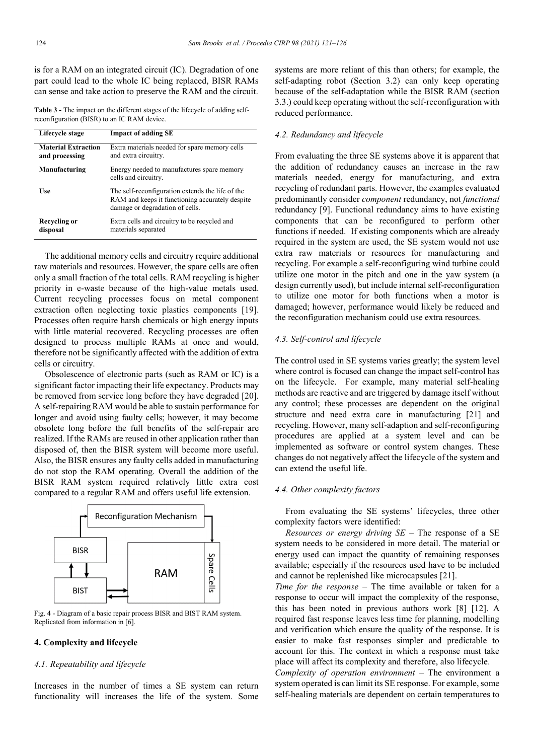is for a RAM on an integrated circuit (IC). Degradation of one part could lead to the whole IC being replaced, BISR RAMs can sense and take action to preserve the RAM and the circuit.

**Table 3 -** The impact on the different stages of the lifecycle of adding selfreconfiguration (BISR) to an IC RAM device.

| Lifecycle stage                              | <b>Impact of adding SE</b>                                                                                                             |
|----------------------------------------------|----------------------------------------------------------------------------------------------------------------------------------------|
| <b>Material Extraction</b><br>and processing | Extra materials needed for spare memory cells<br>and extra circuitry.                                                                  |
| Manufacturing                                | Energy needed to manufactures spare memory<br>cells and circuitry.                                                                     |
| <b>Use</b>                                   | The self-reconfiguration extends the life of the<br>RAM and keeps it functioning accurately despite<br>damage or degradation of cells. |
| Recycling or<br>disposal                     | Extra cells and circuitry to be recycled and<br>materials separated                                                                    |

The additional memory cells and circuitry require additional raw materials and resources. However, the spare cells are often only a small fraction of the total cells. RAM recycling is higher priority in e-waste because of the high-value metals used. Current recycling processes focus on metal component extraction often neglecting toxic plastics components [19]. Processes often require harsh chemicals or high energy inputs with little material recovered. Recycling processes are often designed to process multiple RAMs at once and would, therefore not be significantly affected with the addition of extra cells or circuitry.

Obsolescence of electronic parts (such as RAM or IC) is a significant factor impacting their life expectancy. Products may be removed from service long before they have degraded [20]. A self-repairing RAM would be able to sustain performance for longer and avoid using faulty cells; however, it may become obsolete long before the full benefits of the self-repair are realized. If the RAMs are reused in other application rather than disposed of, then the BISR system will become more useful. Also, the BISR ensures any faulty cells added in manufacturing do not stop the RAM operating. Overall the addition of the BISR RAM system required relatively little extra cost compared to a regular RAM and offers useful life extension.



Fig. 4 - Diagram of a basic repair process BISR and BIST RAM system. Replicated from information in [6].

#### **4. Complexity and lifecycle**

#### *4.1. Repeatability and lifecycle*

Increases in the number of times a SE system can return functionality will increases the life of the system. Some

systems are more reliant of this than others; for example, the self-adapting robot (Section 3.2) can only keep operating because of the self-adaptation while the BISR RAM (section 3.3.) could keep operating without the self-reconfiguration with reduced performance.

#### *4.2. Redundancy and lifecycle*

From evaluating the three SE systems above it is apparent that the addition of redundancy causes an increase in the raw materials needed, energy for manufacturing, and extra recycling of redundant parts. However, the examples evaluated predominantly consider *component* redundancy, not *functional* redundancy [9]. Functional redundancy aims to have existing components that can be reconfigured to perform other functions if needed. If existing components which are already required in the system are used, the SE system would not use extra raw materials or resources for manufacturing and recycling. For example a self-reconfiguring wind turbine could utilize one motor in the pitch and one in the yaw system (a design currently used), but include internal self-reconfiguration to utilize one motor for both functions when a motor is damaged; however, performance would likely be reduced and the reconfiguration mechanism could use extra resources.

#### *4.3. Self-control and lifecycle*

The control used in SE systems varies greatly; the system level where control is focused can change the impact self-control has on the lifecycle. For example, many material self-healing methods are reactive and are triggered by damage itself without any control; these processes are dependent on the original structure and need extra care in manufacturing [21] and recycling. However, many self-adaption and self-reconfiguring procedures are applied at a system level and can be implemented as software or control system changes. These changes do not negatively affect the lifecycle of the system and can extend the useful life.

#### *4.4. Other complexity factors*

From evaluating the SE systems' lifecycles, three other complexity factors were identified:

*Resources or energy driving SE* – The response of a SE system needs to be considered in more detail. The material or energy used can impact the quantity of remaining responses available; especially if the resources used have to be included and cannot be replenished like microcapsules [21].

*Time for the response* – The time available or taken for a response to occur will impact the complexity of the response, this has been noted in previous authors work [8] [12]. A required fast response leaves less time for planning, modelling and verification which ensure the quality of the response. It is easier to make fast responses simpler and predictable to account for this. The context in which a response must take place will affect its complexity and therefore, also lifecycle.

*Complexity of operation environment –* The environment a system operated is can limit its SE response. For example, some self-healing materials are dependent on certain temperatures to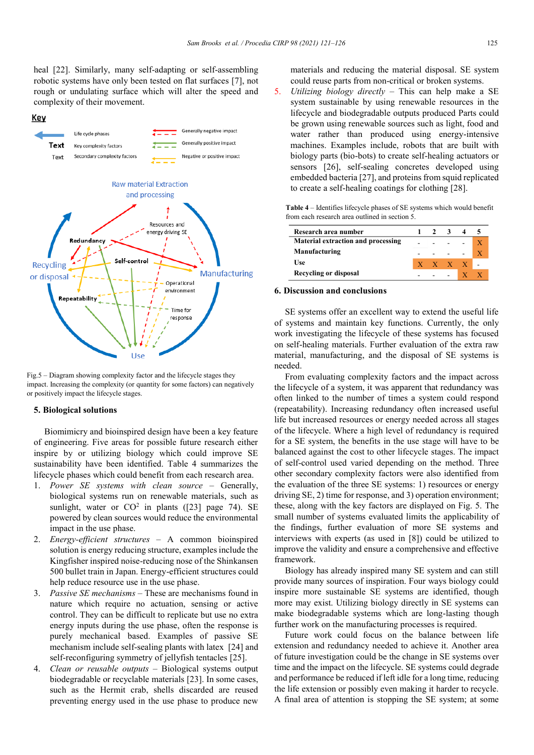heal [22]. Similarly, many self-adapting or self-assembling robotic systems have only been tested on flat surfaces [7], not rough or undulating surface which will alter the speed and complexity of their movement.



Fig.5 – Diagram showing complexity factor and the lifecycle stages they impact. Increasing the complexity (or quantity for some factors) can negatively or positively impact the lifecycle stages.

#### **5. Biological solutions**

Biomimicry and bioinspired design have been a key feature of engineering. Five areas for possible future research either inspire by or utilizing biology which could improve SE sustainability have been identified. Table 4 summarizes the lifecycle phases which could benefit from each research area.

- 1. *Power SE systems with clean source* Generally, biological systems run on renewable materials, such as sunlight, water or  $CO^2$  in plants ([23] page 74). SE powered by clean sources would reduce the environmental impact in the use phase.
- 2. *Energy-efficient structures* A common bioinspired solution is energy reducing structure, examples include the Kingfisher inspired noise-reducing nose of the Shinkansen 500 bullet train in Japan. Energy-efficient structures could help reduce resource use in the use phase.
- 3. *Passive SE mechanisms*  These are mechanisms found in nature which require no actuation, sensing or active control. They can be difficult to replicate but use no extra energy inputs during the use phase, often the response is purely mechanical based. Examples of passive SE mechanism include self-sealing plants with latex [24] and self-reconfiguring symmetry of jellyfish tentacles [25].
- 4. *Clean or reusable outputs*  Biological systems output biodegradable or recyclable materials [23]. In some cases, such as the Hermit crab, shells discarded are reused preventing energy used in the use phase to produce new

materials and reducing the material disposal. SE system could reuse parts from non-critical or broken systems.

5. *Utilizing biology directly* – This can help make a SE system sustainable by using renewable resources in the lifecycle and biodegradable outputs produced Parts could be grown using renewable sources such as light, food and water rather than produced using energy-intensive machines. Examples include, robots that are built with biology parts (bio-bots) to create self-healing actuators or sensors [26], self-sealing concretes developed using embedded bacteria [27], and proteins from squid replicated to create a self-healing coatings for clothing [28].

| <b>Table 4</b> – Identifies lifecycle phases of SE systems which would benefit |  |
|--------------------------------------------------------------------------------|--|
| from each research area outlined in section 5.                                 |  |

| Research area number                      |  |         | -3 |  |  |
|-------------------------------------------|--|---------|----|--|--|
| <b>Material extraction and processing</b> |  |         |    |  |  |
| Manufacturing                             |  |         |    |  |  |
| Use                                       |  | X X X X |    |  |  |
| Recycling or disposal                     |  |         |    |  |  |

#### **6. Discussion and conclusions**

SE systems offer an excellent way to extend the useful life of systems and maintain key functions. Currently, the only work investigating the lifecycle of these systems has focused on self-healing materials. Further evaluation of the extra raw material, manufacturing, and the disposal of SE systems is needed.

From evaluating complexity factors and the impact across the lifecycle of a system, it was apparent that redundancy was often linked to the number of times a system could respond (repeatability). Increasing redundancy often increased useful life but increased resources or energy needed across all stages of the lifecycle. Where a high level of redundancy is required for a SE system, the benefits in the use stage will have to be balanced against the cost to other lifecycle stages. The impact of self-control used varied depending on the method. Three other secondary complexity factors were also identified from the evaluation of the three SE systems: 1) resources or energy driving SE, 2) time for response, and 3) operation environment; these, along with the key factors are displayed on Fig. 5. The small number of systems evaluated limits the applicability of the findings, further evaluation of more SE systems and interviews with experts (as used in [8]) could be utilized to improve the validity and ensure a comprehensive and effective framework.

Biology has already inspired many SE system and can still provide many sources of inspiration. Four ways biology could inspire more sustainable SE systems are identified, though more may exist. Utilizing biology directly in SE systems can make biodegradable systems which are long-lasting though further work on the manufacturing processes is required.

Future work could focus on the balance between life extension and redundancy needed to achieve it. Another area of future investigation could be the change in SE systems over time and the impact on the lifecycle. SE systems could degrade and performance be reduced if left idle for a long time, reducing the life extension or possibly even making it harder to recycle. A final area of attention is stopping the SE system; at some